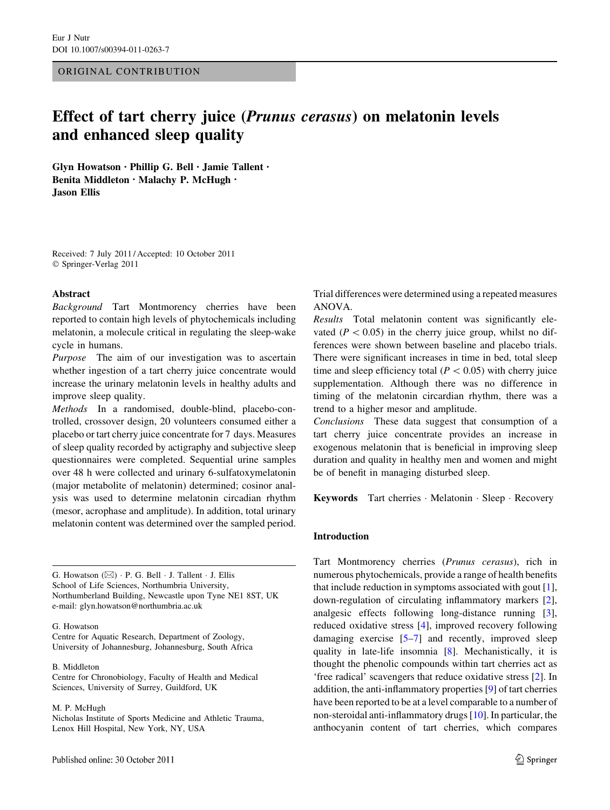## ORIGINAL CONTRIBUTION

# Effect of tart cherry juice (Prunus cerasus) on melatonin levels and enhanced sleep quality

Glyn Howatson • Phillip G. Bell • Jamie Tallent • Benita Middleton • Malachy P. McHugh • Jason Ellis

Received: 7 July 2011 / Accepted: 10 October 2011 © Springer-Verlag 2011

#### Abstract

Background Tart Montmorency cherries have been reported to contain high levels of phytochemicals including melatonin, a molecule critical in regulating the sleep-wake cycle in humans.

Purpose The aim of our investigation was to ascertain whether ingestion of a tart cherry juice concentrate would increase the urinary melatonin levels in healthy adults and improve sleep quality.

Methods In a randomised, double-blind, placebo-controlled, crossover design, 20 volunteers consumed either a placebo or tart cherry juice concentrate for 7 days. Measures of sleep quality recorded by actigraphy and subjective sleep questionnaires were completed. Sequential urine samples over 48 h were collected and urinary 6-sulfatoxymelatonin (major metabolite of melatonin) determined; cosinor analysis was used to determine melatonin circadian rhythm (mesor, acrophase and amplitude). In addition, total urinary melatonin content was determined over the sampled period.

G. Howatson  $(\boxtimes) \cdot P$ . G. Bell  $\cdot$  J. Tallent  $\cdot$  J. Ellis School of Life Sciences, Northumbria University, Northumberland Building, Newcastle upon Tyne NE1 8ST, UK e-mail: glyn.howatson@northumbria.ac.uk

#### G. Howatson

Centre for Aquatic Research, Department of Zoology, University of Johannesburg, Johannesburg, South Africa

#### B. Middleton

Centre for Chronobiology, Faculty of Health and Medical Sciences, University of Surrey, Guildford, UK

M. P. McHugh

Nicholas Institute of Sports Medicine and Athletic Trauma, Lenox Hill Hospital, New York, NY, USA

Trial differences were determined using a repeated measures ANOVA.

Results Total melatonin content was significantly elevated ( $P < 0.05$ ) in the cherry juice group, whilst no differences were shown between baseline and placebo trials. There were significant increases in time in bed, total sleep time and sleep efficiency total ( $P < 0.05$ ) with cherry juice supplementation. Although there was no difference in timing of the melatonin circardian rhythm, there was a trend to a higher mesor and amplitude.

Conclusions These data suggest that consumption of a tart cherry juice concentrate provides an increase in exogenous melatonin that is beneficial in improving sleep duration and quality in healthy men and women and might be of benefit in managing disturbed sleep.

Keywords Tart cherries · Melatonin · Sleep · Recovery

## Introduction

Tart Montmorency cherries (Prunus cerasus), rich in numerous phytochemicals, provide a range of health benefits that include reduction in symptoms associated with gout [\[1](#page-6-0)], down-regulation of circulating inflammatory markers [\[2](#page-6-0)], analgesic effects following long-distance running [\[3](#page-6-0)], reduced oxidative stress [[4\]](#page-6-0), improved recovery following damaging exercise [[5–7\]](#page-6-0) and recently, improved sleep quality in late-life insomnia [[8\]](#page-6-0). Mechanistically, it is thought the phenolic compounds within tart cherries act as 'free radical' scavengers that reduce oxidative stress [\[2](#page-6-0)]. In addition, the anti-inflammatory properties [[9\]](#page-7-0) of tart cherries have been reported to be at a level comparable to a number of non-steroidal anti-inflammatory drugs [[10\]](#page-7-0). In particular, the anthocyanin content of tart cherries, which compares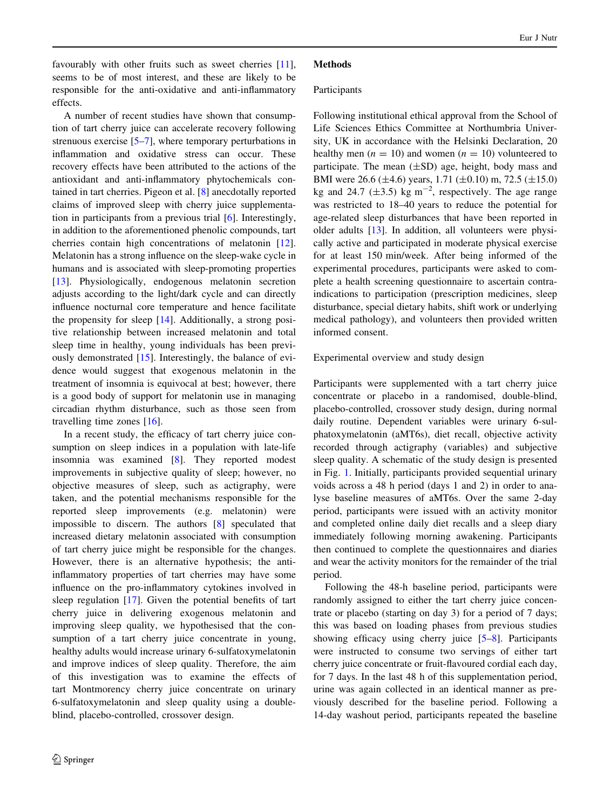favourably with other fruits such as sweet cherries [\[11](#page-7-0)]. seems to be of most interest, and these are likely to be responsible for the anti-oxidative and anti-inflammatory effects.

A number of recent studies have shown that consumption of tart cherry juice can accelerate recovery following strenuous exercise [[5](#page-6-0)–[7\]](#page-6-0), where temporary perturbations in inflammation and oxidative stress can occur. These recovery effects have been attributed to the actions of the antioxidant and anti-inflammatory phytochemicals contained in tart cherries. Pigeon et al. [\[8](#page-6-0)] anecdotally reported claims of improved sleep with cherry juice supplementation in participants from a previous trial [[6\]](#page-6-0). Interestingly, in addition to the aforementioned phenolic compounds, tart cherries contain high concentrations of melatonin [\[12](#page-7-0)]. Melatonin has a strong influence on the sleep-wake cycle in humans and is associated with sleep-promoting properties [\[13](#page-7-0)]. Physiologically, endogenous melatonin secretion adjusts according to the light/dark cycle and can directly influence nocturnal core temperature and hence facilitate the propensity for sleep [[14\]](#page-7-0). Additionally, a strong positive relationship between increased melatonin and total sleep time in healthy, young individuals has been previously demonstrated [[15\]](#page-7-0). Interestingly, the balance of evidence would suggest that exogenous melatonin in the treatment of insomnia is equivocal at best; however, there is a good body of support for melatonin use in managing circadian rhythm disturbance, such as those seen from travelling time zones [\[16](#page-7-0)].

In a recent study, the efficacy of tart cherry juice consumption on sleep indices in a population with late-life insomnia was examined [\[8](#page-6-0)]. They reported modest improvements in subjective quality of sleep; however, no objective measures of sleep, such as actigraphy, were taken, and the potential mechanisms responsible for the reported sleep improvements (e.g. melatonin) were impossible to discern. The authors [[8\]](#page-6-0) speculated that increased dietary melatonin associated with consumption of tart cherry juice might be responsible for the changes. However, there is an alternative hypothesis; the antiinflammatory properties of tart cherries may have some influence on the pro-inflammatory cytokines involved in sleep regulation [[17\]](#page-7-0). Given the potential benefits of tart cherry juice in delivering exogenous melatonin and improving sleep quality, we hypothesised that the consumption of a tart cherry juice concentrate in young, healthy adults would increase urinary 6-sulfatoxymelatonin and improve indices of sleep quality. Therefore, the aim of this investigation was to examine the effects of tart Montmorency cherry juice concentrate on urinary 6-sulfatoxymelatonin and sleep quality using a doubleblind, placebo-controlled, crossover design.

# **Methods**

## Participants

Following institutional ethical approval from the School of Life Sciences Ethics Committee at Northumbria University, UK in accordance with the Helsinki Declaration, 20 healthy men ( $n = 10$ ) and women ( $n = 10$ ) volunteered to participate. The mean  $(\pm SD)$  age, height, body mass and BMI were 26.6 (±4.6) years, 1.71 (±0.10) m, 72.5 (±15.0) kg and 24.7 ( $\pm$ 3.5) kg m<sup>-2</sup>, respectively. The age range was restricted to 18–40 years to reduce the potential for age-related sleep disturbances that have been reported in older adults [[13\]](#page-7-0). In addition, all volunteers were physically active and participated in moderate physical exercise for at least 150 min/week. After being informed of the experimental procedures, participants were asked to complete a health screening questionnaire to ascertain contraindications to participation (prescription medicines, sleep disturbance, special dietary habits, shift work or underlying medical pathology), and volunteers then provided written informed consent.

Experimental overview and study design

Participants were supplemented with a tart cherry juice concentrate or placebo in a randomised, double-blind, placebo-controlled, crossover study design, during normal daily routine. Dependent variables were urinary 6-sulphatoxymelatonin (aMT6s), diet recall, objective activity recorded through actigraphy (variables) and subjective sleep quality. A schematic of the study design is presented in Fig. [1.](#page-2-0) Initially, participants provided sequential urinary voids across a 48 h period (days 1 and 2) in order to analyse baseline measures of aMT6s. Over the same 2-day period, participants were issued with an activity monitor and completed online daily diet recalls and a sleep diary immediately following morning awakening. Participants then continued to complete the questionnaires and diaries and wear the activity monitors for the remainder of the trial period.

Following the 48-h baseline period, participants were randomly assigned to either the tart cherry juice concentrate or placebo (starting on day 3) for a period of 7 days; this was based on loading phases from previous studies showing efficacy using cherry juice [\[5–8](#page-6-0)]. Participants were instructed to consume two servings of either tart cherry juice concentrate or fruit-flavoured cordial each day, for 7 days. In the last 48 h of this supplementation period, urine was again collected in an identical manner as previously described for the baseline period. Following a 14-day washout period, participants repeated the baseline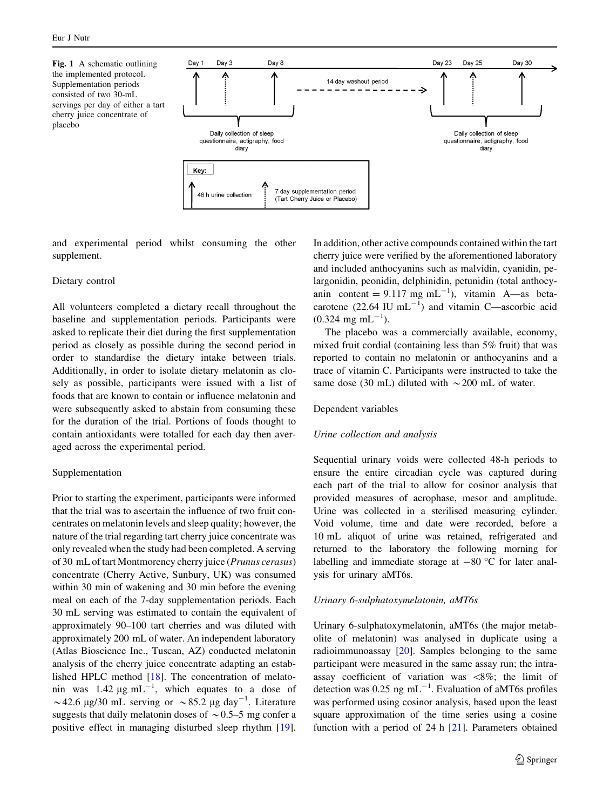<span id="page-2-0"></span>Fig. 1 A schematic outlining the implemented protocol. Supplementation periods consisted of two 30-mL servings per day of either a tart cherry juice concentrate of placebo



and experimental period whilst consuming the other supplement.

#### Dietary control

All volunteers completed a dietary recall throughout the baseline and supplementation periods. Participants were asked to replicate their diet during the first supplementation period as closely as possible during the second period in order to standardise the dietary intake between trials. Additionally, in order to isolate dietary melatonin as closely as possible, participants were issued with a list of foods that are known to contain or influence melatonin and were subsequently asked to abstain from consuming these for the duration of the trial. Portions of foods thought to contain antioxidants were totalled for each day then averaged across the experimental period.

#### Supplementation

Prior to starting the experiment, participants were informed that the trial was to ascertain the influence of two fruit concentrates on melatonin levels and sleep quality; however, the nature of the trial regarding tart cherry juice concentrate was only revealed when the study had been completed. A serving of 30 mL of tart Montmorency cherry juice (Prunus cerasus) concentrate (Cherry Active, Sunbury, UK) was consumed within 30 min of wakening and 30 min before the evening meal on each of the 7-day supplementation periods. Each 30 mL serving was estimated to contain the equivalent of approximately 90–100 tart cherries and was diluted with approximately 200 mL of water. An independent laboratory (Atlas Bioscience Inc., Tuscan, AZ) conducted melatonin analysis of the cherry juice concentrate adapting an established HPLC method [[18\]](#page-7-0). The concentration of melatonin was 1.42  $\mu$ g mL<sup>-1</sup>, which equates to a dose of ~42.6 µg/30 mL serving or ~85.2 µg day<sup>-1</sup>. Literature suggests that daily melatonin doses of  $\sim 0.5-5$  mg confer a positive effect in managing disturbed sleep rhythm [\[19](#page-7-0)]. In addition, other active compounds contained within the tart cherry juice were verified by the aforementioned laboratory and included anthocyanins such as malvidin, cyanidin, pelargonidin, peonidin, delphinidin, petunidin (total anthocyanin content =  $9.117$  mg mL<sup>-1</sup>), vitamin A—as betacarotene  $(22.64 \text{ IU } mL^{-1})$  and vitamin C—ascorbic acid  $(0.324 \text{ mg } \text{mL}^{-1})$ .

The placebo was a commercially available, economy, mixed fruit cordial (containing less than 5% fruit) that was reported to contain no melatonin or anthocyanins and a trace of vitamin C. Participants were instructed to take the same dose (30 mL) diluted with  $\sim$  200 mL of water.

#### Dependent variables

## Urine collection and analysis

Sequential urinary voids were collected 48-h periods to ensure the entire circadian cycle was captured during each part of the trial to allow for cosinor analysis that provided measures of acrophase, mesor and amplitude. Urine was collected in a sterilised measuring cylinder. Void volume, time and date were recorded, before a 10 mL aliquot of urine was retained, refrigerated and returned to the laboratory the following morning for labelling and immediate storage at  $-80$  °C for later analysis for urinary aMT6s.

#### Urinary 6-sulphatoxymelatonin, aMT6s

Urinary 6-sulphatoxymelatonin, aMT6s (the major metabolite of melatonin) was analysed in duplicate using a radioimmunoassay [[20\]](#page-7-0). Samples belonging to the same participant were measured in the same assay run; the intraassay coefficient of variation was  $\langle 8\%;$  the limit of detection was 0.25 ng mL<sup>-1</sup>. Evaluation of aMT6s profiles was performed using cosinor analysis, based upon the least square approximation of the time series using a cosine function with a period of 24 h [\[21](#page-7-0)]. Parameters obtained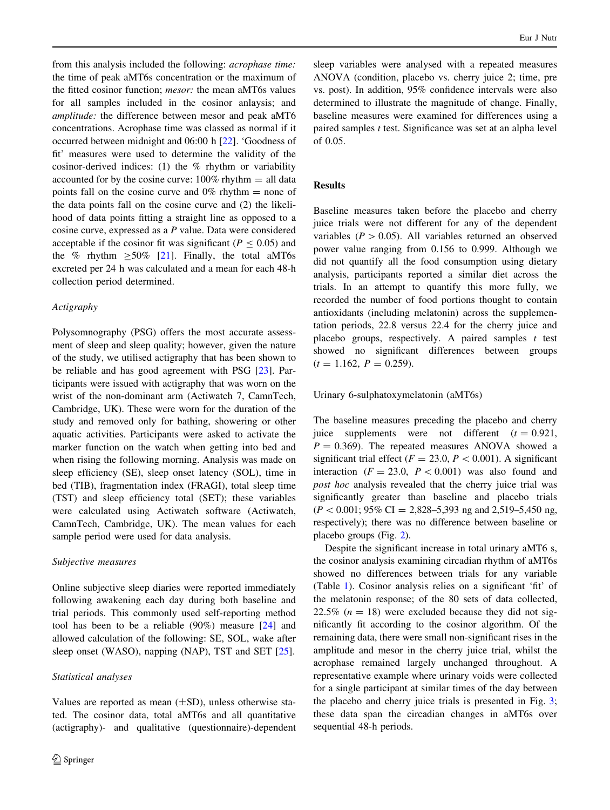from this analysis included the following: acrophase time: the time of peak aMT6s concentration or the maximum of the fitted cosinor function; *mesor*: the mean aMT6s values for all samples included in the cosinor anlaysis; and amplitude: the difference between mesor and peak aMT6 concentrations. Acrophase time was classed as normal if it occurred between midnight and 06:00 h [\[22](#page-7-0)]. 'Goodness of fit' measures were used to determine the validity of the cosinor-derived indices: (1) the  $%$  rhythm or variability accounted for by the cosine curve:  $100\%$  rhythm  $=$  all data points fall on the cosine curve and  $0\%$  rhythm  $=$  none of the data points fall on the cosine curve and (2) the likelihood of data points fitting a straight line as opposed to a cosine curve, expressed as a P value. Data were considered acceptable if the cosinor fit was significant ( $P \le 0.05$ ) and the % rhythm  $>50\%$  [[21\]](#page-7-0). Finally, the total aMT6s excreted per 24 h was calculated and a mean for each 48-h collection period determined.

## Actigraphy

Polysomnography (PSG) offers the most accurate assessment of sleep and sleep quality; however, given the nature of the study, we utilised actigraphy that has been shown to be reliable and has good agreement with PSG [[23\]](#page-7-0). Participants were issued with actigraphy that was worn on the wrist of the non-dominant arm (Actiwatch 7, CamnTech, Cambridge, UK). These were worn for the duration of the study and removed only for bathing, showering or other aquatic activities. Participants were asked to activate the marker function on the watch when getting into bed and when rising the following morning. Analysis was made on sleep efficiency (SE), sleep onset latency (SOL), time in bed (TIB), fragmentation index (FRAGI), total sleep time (TST) and sleep efficiency total (SET); these variables were calculated using Actiwatch software (Actiwatch, CamnTech, Cambridge, UK). The mean values for each sample period were used for data analysis.

## Subjective measures

Online subjective sleep diaries were reported immediately following awakening each day during both baseline and trial periods. This commonly used self-reporting method tool has been to be a reliable  $(90\%)$  measure  $[24]$  $[24]$  and allowed calculation of the following: SE, SOL, wake after sleep onset (WASO), napping (NAP), TST and SET [\[25](#page-7-0)].

## Statistical analyses

Values are reported as mean  $(\pm SD)$ , unless otherwise stated. The cosinor data, total aMT6s and all quantitative (actigraphy)- and qualitative (questionnaire)-dependent sleep variables were analysed with a repeated measures ANOVA (condition, placebo vs. cherry juice 2; time, pre vs. post). In addition, 95% confidence intervals were also determined to illustrate the magnitude of change. Finally, baseline measures were examined for differences using a paired samples  $t$  test. Significance was set at an alpha level of 0.05.

# Results

Baseline measures taken before the placebo and cherry juice trials were not different for any of the dependent variables ( $P > 0.05$ ). All variables returned an observed power value ranging from 0.156 to 0.999. Although we did not quantify all the food consumption using dietary analysis, participants reported a similar diet across the trials. In an attempt to quantify this more fully, we recorded the number of food portions thought to contain antioxidants (including melatonin) across the supplementation periods, 22.8 versus 22.4 for the cherry juice and placebo groups, respectively. A paired samples  $t$  test showed no significant differences between groups  $(t = 1.162, P = 0.259).$ 

## Urinary 6-sulphatoxymelatonin (aMT6s)

The baseline measures preceding the placebo and cherry juice supplements were not different  $(t = 0.921,$  $P = 0.369$ . The repeated measures ANOVA showed a significant trial effect ( $F = 23.0, P < 0.001$ ). A significant interaction ( $F = 23.0$ ,  $P < 0.001$ ) was also found and post hoc analysis revealed that the cherry juice trial was significantly greater than baseline and placebo trials  $(P < 0.001; 95\% \text{ CI} = 2,828-5,393 \text{ ng and } 2,519-5,450 \text{ ng},$ respectively); there was no difference between baseline or placebo groups (Fig. [2\)](#page-4-0).

Despite the significant increase in total urinary aMT6 s, the cosinor analysis examining circadian rhythm of aMT6s showed no differences between trials for any variable (Table [1\)](#page-4-0). Cosinor analysis relies on a significant 'fit' of the melatonin response; of the 80 sets of data collected, 22.5% ( $n = 18$ ) were excluded because they did not significantly fit according to the cosinor algorithm. Of the remaining data, there were small non-significant rises in the amplitude and mesor in the cherry juice trial, whilst the acrophase remained largely unchanged throughout. A representative example where urinary voids were collected for a single participant at similar times of the day between the placebo and cherry juice trials is presented in Fig. [3](#page-4-0); these data span the circadian changes in aMT6s over sequential 48-h periods.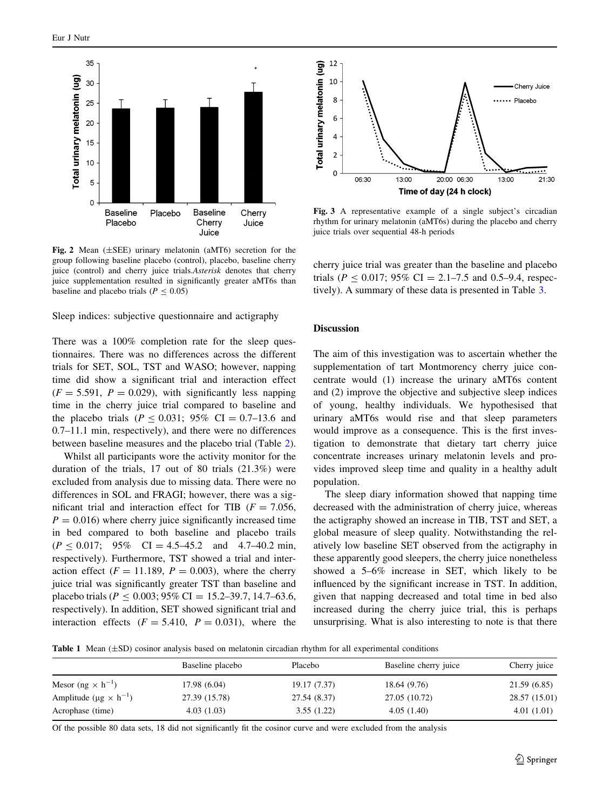<span id="page-4-0"></span>

Fig. 2 Mean (±SEE) urinary melatonin (aMT6) secretion for the group following baseline placebo (control), placebo, baseline cherry juice (control) and cherry juice trials.Asterisk denotes that cherry juice supplementation resulted in significantly greater aMT6s than baseline and placebo trials ( $P \le 0.05$ )

Sleep indices: subjective questionnaire and actigraphy

There was a 100% completion rate for the sleep questionnaires. There was no differences across the different trials for SET, SOL, TST and WASO; however, napping time did show a significant trial and interaction effect  $(F = 5.591, P = 0.029)$ , with significantly less napping time in the cherry juice trial compared to baseline and the placebo trials ( $P < 0.031$ ; 95% CI = 0.7–13.6 and 0.7–11.1 min, respectively), and there were no differences between baseline measures and the placebo trial (Table [2](#page-5-0)).

Whilst all participants wore the activity monitor for the duration of the trials, 17 out of 80 trials (21.3%) were excluded from analysis due to missing data. There were no differences in SOL and FRAGI; however, there was a significant trial and interaction effect for TIB ( $F = 7.056$ ,  $P = 0.016$ ) where cherry juice significantly increased time in bed compared to both baseline and placebo trails  $(P \le 0.017; 95\% \text{ CI} = 4.5-45.2 \text{ and } 4.7-40.2 \text{ min},$ respectively). Furthermore, TST showed a trial and interaction effect ( $F = 11.189$ ,  $P = 0.003$ ), where the cherry juice trial was significantly greater TST than baseline and placebo trials ( $P \le 0.003$ ; 95% CI = 15.2–39.7, 14.7–63.6, respectively). In addition, SET showed significant trial and interaction effects  $(F = 5.410, P = 0.031)$ , where the



Fig. 3 A representative example of a single subject's circadian rhythm for urinary melatonin (aMT6s) during the placebo and cherry juice trials over sequential 48-h periods

cherry juice trial was greater than the baseline and placebo trials ( $P \le 0.017$ ; 95% CI = 2.1–7.5 and 0.5–9.4, respectively). A summary of these data is presented in Table [3](#page-5-0).

## Discussion

The aim of this investigation was to ascertain whether the supplementation of tart Montmorency cherry juice concentrate would (1) increase the urinary aMT6s content and (2) improve the objective and subjective sleep indices of young, healthy individuals. We hypothesised that urinary aMT6s would rise and that sleep parameters would improve as a consequence. This is the first investigation to demonstrate that dietary tart cherry juice concentrate increases urinary melatonin levels and provides improved sleep time and quality in a healthy adult population.

The sleep diary information showed that napping time decreased with the administration of cherry juice, whereas the actigraphy showed an increase in TIB, TST and SET, a global measure of sleep quality. Notwithstanding the relatively low baseline SET observed from the actigraphy in these apparently good sleepers, the cherry juice nonetheless showed a 5–6% increase in SET, which likely to be influenced by the significant increase in TST. In addition, given that napping decreased and total time in bed also increased during the cherry juice trial, this is perhaps unsurprising. What is also interesting to note is that there

**Table 1** Mean  $(\pm SD)$  cosinor analysis based on melatonin circadian rhythm for all experimental conditions

|                                         | Baseline placebo | Placebo      | Baseline cherry juice | Cherry juice  |
|-----------------------------------------|------------------|--------------|-----------------------|---------------|
| Mesor (ng $\times$ h <sup>-1</sup> )    | 17.98 (6.04)     | 19.17 (7.37) | 18.64 (9.76)          | 21.59(6.85)   |
| Amplitude ( $\mu$ g × h <sup>-1</sup> ) | 27.39 (15.78)    | 27.54 (8.37) | 27.05 (10.72)         | 28.57 (15.01) |
| Acrophase (time)                        | 4.03(1.03)       | 3.55(1.22)   | 4.05(1.40)            | 4.01(1.01)    |

Of the possible 80 data sets, 18 did not significantly fit the cosinor curve and were excluded from the analysis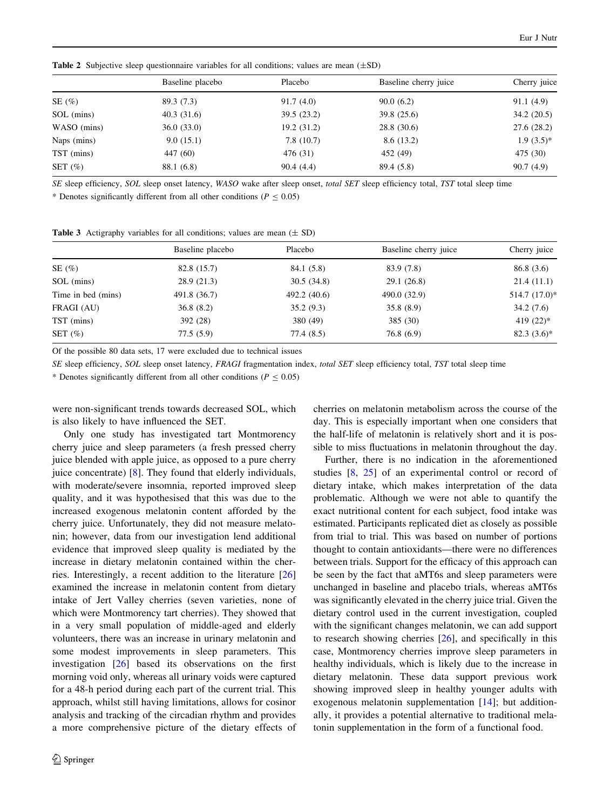|             | Baseline placebo | Placebo     | Baseline cherry juice | Cherry juice |
|-------------|------------------|-------------|-----------------------|--------------|
| SE $(\% )$  | 89.3 (7.3)       | 91.7(4.0)   | 90.0(6.2)             | 91.1(4.9)    |
| SOL (mins)  | 40.3(31.6)       | 39.5 (23.2) | 39.8 (25.6)           | 34.2(20.5)   |
| WASO (mins) | 36.0(33.0)       | 19.2 (31.2) | 28.8 (30.6)           | 27.6 (28.2)  |
| Naps (mins) | 9.0(15.1)        | 7.8(10.7)   | 8.6(13.2)             | $1.9(3.5)^*$ |
| TST (mins)  | 447 (60)         | 476 (31)    | 452 (49)              | 475 (30)     |
| SET $(\%)$  | 88.1 (6.8)       | 90.4(4.4)   | 89.4 (5.8)            | 90.7(4.9)    |

<span id="page-5-0"></span>**Table 2** Subjective sleep questionnaire variables for all conditions; values are mean  $(\pm SD)$ 

SE sleep efficiency, SOL sleep onset latency, WASO wake after sleep onset, total SET sleep efficiency total, TST total sleep time

\* Denotes significantly different from all other conditions ( $P < 0.05$ )

Table 3 Actigraphy variables for all conditions; values are mean  $(\pm SD)$ 

|                    | Baseline placebo | Placebo      | Baseline cherry juice | Cherry juice    |
|--------------------|------------------|--------------|-----------------------|-----------------|
| SE $(\% )$         | 82.8 (15.7)      | 84.1 (5.8)   | 83.9 (7.8)            | 86.8 (3.6)      |
| SOL (mins)         | 28.9(21.3)       | 30.5(34.8)   | 29.1(26.8)            | 21.4(11.1)      |
| Time in bed (mins) | 491.8 (36.7)     | 492.2 (40.6) | 490.0 (32.9)          | $514.7(17.0)$ * |
| FRAGI (AU)         | 36.8(8.2)        | 35.2(9.3)    | 35.8(8.9)             | 34.2(7.6)       |
| TST (mins)         | 392 (28)         | 380 (49)     | 385 (30)              | 419 $(22)*$     |
| SET $(\%)$         | 77.5(5.9)        | 77.4 (8.5)   | 76.8(6.9)             | $82.3(3.6)^*$   |

Of the possible 80 data sets, 17 were excluded due to technical issues

SE sleep efficiency, SOL sleep onset latency, FRAGI fragmentation index, total SET sleep efficiency total, TST total sleep time

\* Denotes significantly different from all other conditions ( $P \le 0.05$ )

were non-significant trends towards decreased SOL, which is also likely to have influenced the SET.

Only one study has investigated tart Montmorency cherry juice and sleep parameters (a fresh pressed cherry juice blended with apple juice, as opposed to a pure cherry juice concentrate) [\[8](#page-6-0)]. They found that elderly individuals, with moderate/severe insomnia, reported improved sleep quality, and it was hypothesised that this was due to the increased exogenous melatonin content afforded by the cherry juice. Unfortunately, they did not measure melatonin; however, data from our investigation lend additional evidence that improved sleep quality is mediated by the increase in dietary melatonin contained within the cherries. Interestingly, a recent addition to the literature [[26\]](#page-7-0) examined the increase in melatonin content from dietary intake of Jert Valley cherries (seven varieties, none of which were Montmorency tart cherries). They showed that in a very small population of middle-aged and elderly volunteers, there was an increase in urinary melatonin and some modest improvements in sleep parameters. This investigation [\[26](#page-7-0)] based its observations on the first morning void only, whereas all urinary voids were captured for a 48-h period during each part of the current trial. This approach, whilst still having limitations, allows for cosinor analysis and tracking of the circadian rhythm and provides a more comprehensive picture of the dietary effects of cherries on melatonin metabolism across the course of the day. This is especially important when one considers that the half-life of melatonin is relatively short and it is possible to miss fluctuations in melatonin throughout the day.

Further, there is no indication in the aforementioned studies [\[8](#page-6-0), [25\]](#page-7-0) of an experimental control or record of dietary intake, which makes interpretation of the data problematic. Although we were not able to quantify the exact nutritional content for each subject, food intake was estimated. Participants replicated diet as closely as possible from trial to trial. This was based on number of portions thought to contain antioxidants—there were no differences between trials. Support for the efficacy of this approach can be seen by the fact that aMT6s and sleep parameters were unchanged in baseline and placebo trials, whereas aMT6s was significantly elevated in the cherry juice trial. Given the dietary control used in the current investigation, coupled with the significant changes melatonin, we can add support to research showing cherries [\[26](#page-7-0)], and specifically in this case, Montmorency cherries improve sleep parameters in healthy individuals, which is likely due to the increase in dietary melatonin. These data support previous work showing improved sleep in healthy younger adults with exogenous melatonin supplementation [[14\]](#page-7-0); but additionally, it provides a potential alternative to traditional melatonin supplementation in the form of a functional food.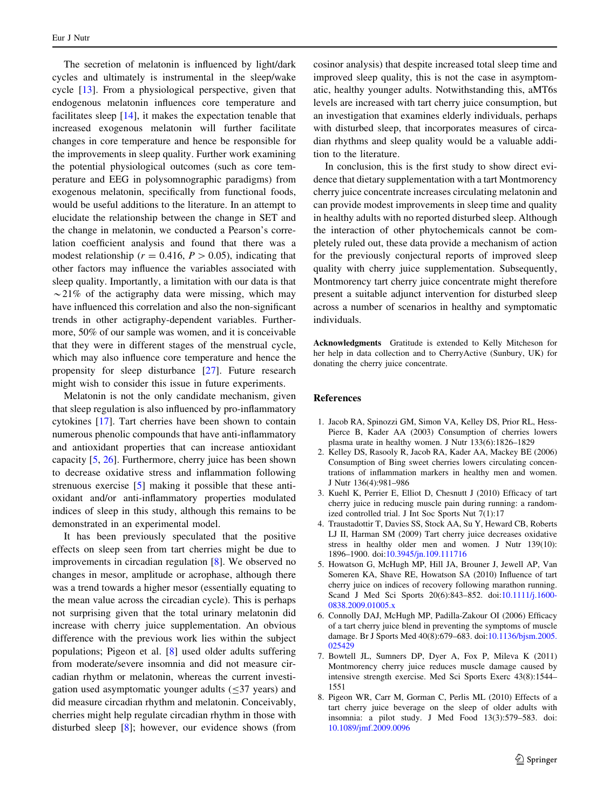<span id="page-6-0"></span>The secretion of melatonin is influenced by light/dark cycles and ultimately is instrumental in the sleep/wake cycle [\[13](#page-7-0)]. From a physiological perspective, given that endogenous melatonin influences core temperature and facilitates sleep [\[14](#page-7-0)], it makes the expectation tenable that increased exogenous melatonin will further facilitate changes in core temperature and hence be responsible for the improvements in sleep quality. Further work examining the potential physiological outcomes (such as core temperature and EEG in polysomnographic paradigms) from exogenous melatonin, specifically from functional foods, would be useful additions to the literature. In an attempt to elucidate the relationship between the change in SET and the change in melatonin, we conducted a Pearson's correlation coefficient analysis and found that there was a modest relationship ( $r = 0.416$ ,  $P > 0.05$ ), indicating that other factors may influence the variables associated with sleep quality. Importantly, a limitation with our data is that  $\sim$ 21% of the actigraphy data were missing, which may have influenced this correlation and also the non-significant trends in other actigraphy-dependent variables. Furthermore, 50% of our sample was women, and it is conceivable that they were in different stages of the menstrual cycle, which may also influence core temperature and hence the propensity for sleep disturbance [[27\]](#page-7-0). Future research might wish to consider this issue in future experiments.

Melatonin is not the only candidate mechanism, given that sleep regulation is also influenced by pro-inflammatory cytokines [[17\]](#page-7-0). Tart cherries have been shown to contain numerous phenolic compounds that have anti-inflammatory and antioxidant properties that can increase antioxidant capacity [5, [26\]](#page-7-0). Furthermore, cherry juice has been shown to decrease oxidative stress and inflammation following strenuous exercise [5] making it possible that these antioxidant and/or anti-inflammatory properties modulated indices of sleep in this study, although this remains to be demonstrated in an experimental model.

It has been previously speculated that the positive effects on sleep seen from tart cherries might be due to improvements in circadian regulation [8]. We observed no changes in mesor, amplitude or acrophase, although there was a trend towards a higher mesor (essentially equating to the mean value across the circadian cycle). This is perhaps not surprising given that the total urinary melatonin did increase with cherry juice supplementation. An obvious difference with the previous work lies within the subject populations; Pigeon et al. [8] used older adults suffering from moderate/severe insomnia and did not measure circadian rhythm or melatonin, whereas the current investigation used asymptomatic younger adults  $(\leq 37$  years) and did measure circadian rhythm and melatonin. Conceivably, cherries might help regulate circadian rhythm in those with disturbed sleep [8]; however, our evidence shows (from cosinor analysis) that despite increased total sleep time and improved sleep quality, this is not the case in asymptomatic, healthy younger adults. Notwithstanding this, aMT6s levels are increased with tart cherry juice consumption, but an investigation that examines elderly individuals, perhaps with disturbed sleep, that incorporates measures of circadian rhythms and sleep quality would be a valuable addition to the literature.

In conclusion, this is the first study to show direct evidence that dietary supplementation with a tart Montmorency cherry juice concentrate increases circulating melatonin and can provide modest improvements in sleep time and quality in healthy adults with no reported disturbed sleep. Although the interaction of other phytochemicals cannot be completely ruled out, these data provide a mechanism of action for the previously conjectural reports of improved sleep quality with cherry juice supplementation. Subsequently, Montmorency tart cherry juice concentrate might therefore present a suitable adjunct intervention for disturbed sleep across a number of scenarios in healthy and symptomatic individuals.

Acknowledgments Gratitude is extended to Kelly Mitcheson for her help in data collection and to CherryActive (Sunbury, UK) for donating the cherry juice concentrate.

#### References

- 1. Jacob RA, Spinozzi GM, Simon VA, Kelley DS, Prior RL, Hess-Pierce B, Kader AA (2003) Consumption of cherries lowers plasma urate in healthy women. J Nutr 133(6):1826–1829
- 2. Kelley DS, Rasooly R, Jacob RA, Kader AA, Mackey BE (2006) Consumption of Bing sweet cherries lowers circulating concentrations of inflammation markers in healthy men and women. J Nutr 136(4):981–986
- 3. Kuehl K, Perrier E, Elliot D, Chesnutt J (2010) Efficacy of tart cherry juice in reducing muscle pain during running: a randomized controlled trial. J Int Soc Sports Nut 7(1):17
- 4. Traustadottir T, Davies SS, Stock AA, Su Y, Heward CB, Roberts LJ II, Harman SM (2009) Tart cherry juice decreases oxidative stress in healthy older men and women. J Nutr 139(10): 1896–1900. doi[:10.3945/jn.109.111716](http://dx.doi.org/10.3945/jn.109.111716)
- 5. Howatson G, McHugh MP, Hill JA, Brouner J, Jewell AP, Van Someren KA, Shave RE, Howatson SA (2010) Influence of tart cherry juice on indices of recovery following marathon running. Scand J Med Sci Sports 20(6):843–852. doi[:10.1111/j.1600-](http://dx.doi.org/10.1111/j.1600-0838.2009.01005.x) [0838.2009.01005.x](http://dx.doi.org/10.1111/j.1600-0838.2009.01005.x)
- 6. Connolly DAJ, McHugh MP, Padilla-Zakour OI (2006) Efficacy of a tart cherry juice blend in preventing the symptoms of muscle damage. Br J Sports Med 40(8):679–683. doi:[10.1136/bjsm.2005.](http://dx.doi.org/10.1136/bjsm.2005.025429) [025429](http://dx.doi.org/10.1136/bjsm.2005.025429)
- 7. Bowtell JL, Sumners DP, Dyer A, Fox P, Mileva K (2011) Montmorency cherry juice reduces muscle damage caused by intensive strength exercise. Med Sci Sports Exerc 43(8):1544– 1551
- 8. Pigeon WR, Carr M, Gorman C, Perlis ML (2010) Effects of a tart cherry juice beverage on the sleep of older adults with insomnia: a pilot study. J Med Food 13(3):579–583. doi: [10.1089/jmf.2009.0096](http://dx.doi.org/10.1089/jmf.2009.0096)